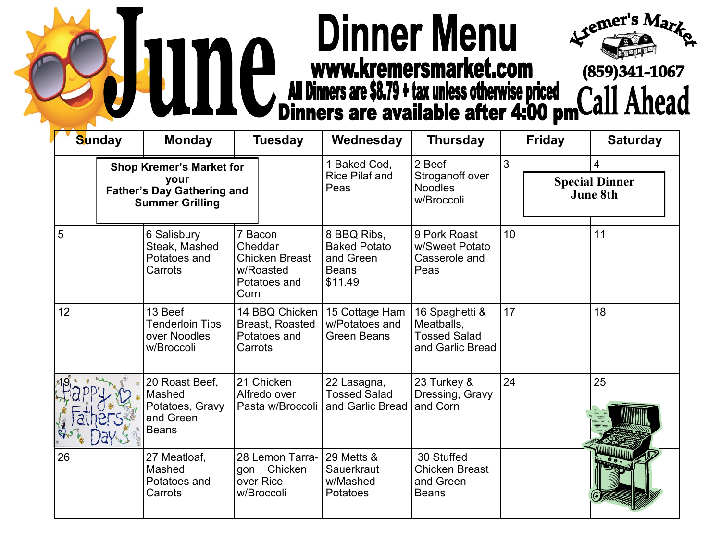## **Dinner Menu** Semer's Market Com (859)341-1067<br>All Dinners are \$8.79 + tax unless otherwise priced<br>Dinners are available after 4:00 pmCall Ahead



| <b>Sunday</b> |                                                                                                        | <b>Monday</b>                                                            | <b>Tuesday</b>                                                                   | Wednesday                                                                  | <b>Thursday</b>                                                         |    | <b>Friday</b> | <b>Saturday</b>                               |  |
|---------------|--------------------------------------------------------------------------------------------------------|--------------------------------------------------------------------------|----------------------------------------------------------------------------------|----------------------------------------------------------------------------|-------------------------------------------------------------------------|----|---------------|-----------------------------------------------|--|
|               | <b>Shop Kremer's Market for</b><br>your<br><b>Father's Day Gathering and</b><br><b>Summer Grilling</b> |                                                                          |                                                                                  | 1 Baked Cod,<br><b>Rice Pilaf and</b><br>Peas                              | 2 Beef<br>Stroganoff over<br><b>Noodles</b><br>w/Broccoli               | 3  |               | 4<br><b>Special Dinner</b><br><b>June 8th</b> |  |
| 5             |                                                                                                        | 6 Salisbury<br>Steak, Mashed<br>Potatoes and<br>Carrots                  | 7 Bacon<br>Cheddar<br><b>Chicken Breast</b><br>w/Roasted<br>Potatoes and<br>Corn | 8 BBQ Ribs,<br><b>Baked Potato</b><br>and Green<br><b>Beans</b><br>\$11.49 | 9 Pork Roast<br>w/Sweet Potato<br>Casserole and<br>Peas                 | 10 |               | 11                                            |  |
| 12            |                                                                                                        | 13 Beef<br><b>Tenderloin Tips</b><br>over Noodles<br>w/Broccoli          | 14 BBQ Chicken<br><b>Breast, Roasted</b><br>Potatoes and<br>Carrots              | 15 Cottage Ham<br>w/Potatoes and<br><b>Green Beans</b>                     | 16 Spaghetti &<br>Meatballs,<br><b>Tossed Salad</b><br>and Garlic Bread | 17 |               | 18                                            |  |
|               |                                                                                                        | 20 Roast Beef,<br>Mashed<br>Potatoes, Gravy<br>and Green<br><b>Beans</b> | 21 Chicken<br>Alfredo over<br>Pasta w/Broccoli                                   | 22 Lasagna,<br><b>Tossed Salad</b><br>and Garlic Bread                     | 23 Turkey &<br>Dressing, Gravy<br>and Corn                              | 24 |               | 25                                            |  |
| 26            |                                                                                                        | 27 Meatloaf,<br>Mashed<br>Potatoes and<br>Carrots                        | 28 Lemon Tarra-<br>gon Chicken<br>over Rice<br>w/Broccoli                        | 29 Metts &<br>Sauerkraut<br>w/Mashed<br>Potatoes                           | 30 Stuffed<br><b>Chicken Breast</b><br>and Green<br><b>Beans</b>        |    |               |                                               |  |